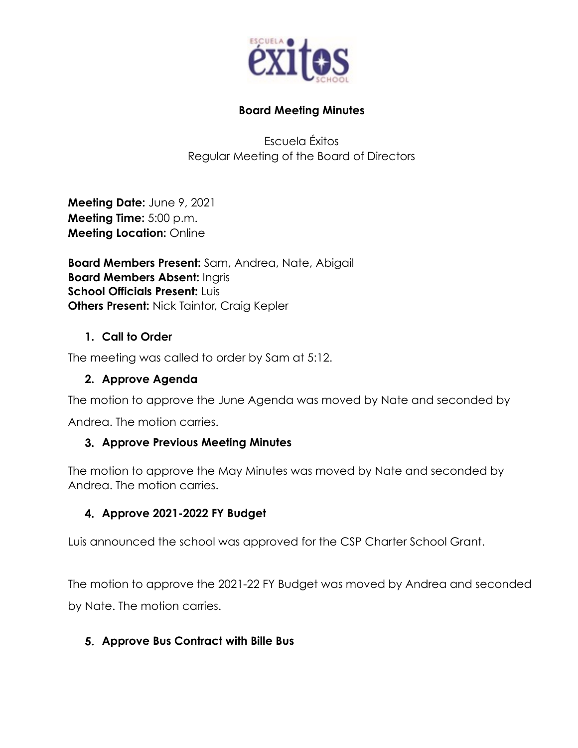

### **Board Meeting Minutes**

Escuela Éxitos Regular Meeting of the Board of Directors

**Meeting Date:** June 9, 2021 **Meeting Time:** 5:00 p.m. **Meeting Location:** Online

**Board Members Present:** Sam, Andrea, Nate, Abigail **Board Members Absent:** Ingris **School Officials Present: Luis Others Present:** Nick Taintor, Craig Kepler

## **1. Call to Order**

The meeting was called to order by Sam at 5:12.

### **2. Approve Agenda**

The motion to approve the June Agenda was moved by Nate and seconded by

Andrea. The motion carries.

#### **3. Approve Previous Meeting Minutes**

The motion to approve the May Minutes was moved by Nate and seconded by Andrea. The motion carries.

## **4. Approve 2021-2022 FY Budget**

Luis announced the school was approved for the CSP Charter School Grant.

The motion to approve the 2021-22 FY Budget was moved by Andrea and seconded by Nate. The motion carries.

#### **5. Approve Bus Contract with Bille Bus**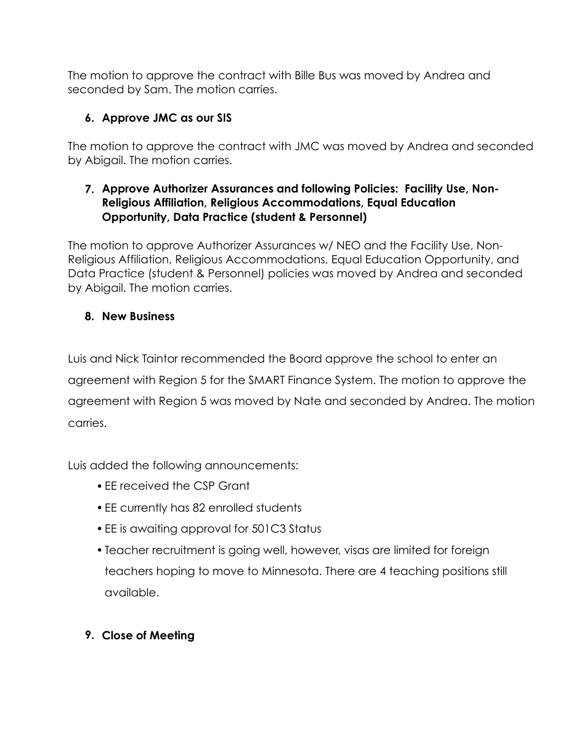The motion to approve the contract with Bille Bus was moved by Andrea and seconded by Sam. The motion carries.

# **6. Approve JMC as our SIS**

The motion to approve the contract with JMC was moved by Andrea and seconded by Abigail. The motion carries.

## **7. Approve Authorizer Assurances and following Policies: Facility Use, Non-Religious Affiliation, Religious Accommodations, Equal Education Opportunity, Data Practice (student & Personnel)**

The motion to approve Authorizer Assurances w/ NEO and the Facility Use, Non-Religious Affiliation, Religious Accommodations, Equal Education Opportunity, and Data Practice (student & Personnel) policies was moved by Andrea and seconded by Abigail. The motion carries.

## **8. New Business**

Luis and Nick Taintor recommended the Board approve the school to enter an agreement with Region 5 for the SMART Finance System. The motion to approve the agreement with Region 5 was moved by Nate and seconded by Andrea. The motion carries.

Luis added the following announcements:

- •EE received the CSP Grant
- •EE currently has 82 enrolled students
- •EE is awaiting approval for 501C3 Status
- •Teacher recruitment is going well, however, visas are limited for foreign teachers hoping to move to Minnesota. There are 4 teaching positions still available.

# **9. Close of Meeting**